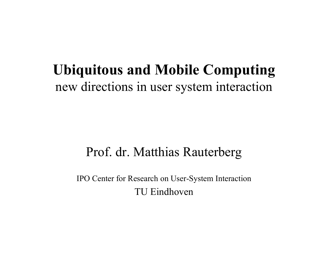#### **Ubiquitous and Mobile Computing** new directions in user system interaction

#### Prof. dr. Matthias Rauterberg

IPO Center for Research on User-System Interaction TU Eindhoven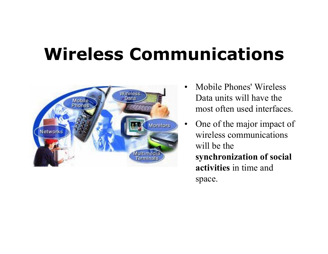# **Wireless Communications**



- $\bullet$  Mobile Phones' Wireless Data units will have the most often used interfaces.
- $\bullet$  One of the major impact of wireless communications will be the **synchronization of social activities** in time and space.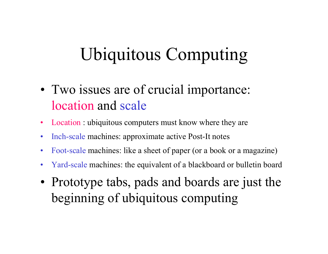# Ubiquitous Computing

- Two issues are of crucial importance: location and scale
- $\bullet$ Location : ubiquitous computers must know where they are
- $\bullet$ Inch-scale machines: approximate active Post-It notes
- $\bullet$ Foot-scale machines: like a sheet of paper (or a book or a magazine)
- $\bullet$ Yard-scale machines: the equivalent of a blackboard or bulletin board
- Prototype tabs, pads and boards are just the beginning of ubiquitous computing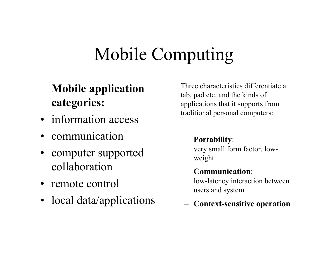# Mobile Computing

#### **Mobile application categories:**

- information access
- •communication
- computer supported collaboration
- remote control
- local data/applications

Three characteristics differentiate a tab, pad etc. and the kinds of applications that it supports from traditional personal computers:

 **Portability**: very small form factor, lowweight

#### – **Communication**:

low-latency interaction between users and system

**Context-sensitive operation**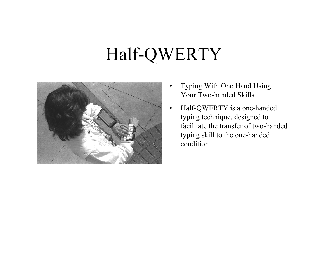## Half-QWERTY



- $\bullet$  Typing With One Hand Using Your Two-handed Skills
- $\bullet$  Half-QWERTY is a one-handed typing technique, designed to facilitate the transfer of two-handed typing skill to the one-handed condition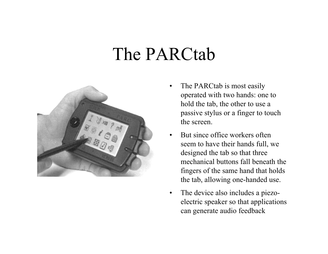#### The PARCtab



- $\bullet$  The PARCtab is most easily operated with two hands: one to hold the tab, the other to use a passive stylus or a finger to touch the screen.
- $\bullet$  But since office workers often seem to have their hands full, we designed the tab so that three mechanical buttons fall beneath the fingers of the same hand that holds the tab, allowing one-handed use.
- $\bullet$  The device also includes a piezoelectric speaker so that applications can generate audio feedback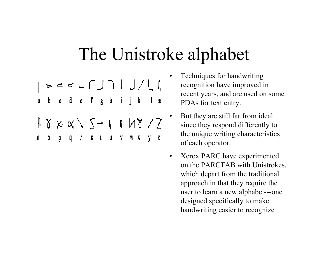#### The Unistroke alphabet

- a b c d c f g h i j k l m
- $\begin{array}{l} \texttt{A} \texttt{B} \texttt{B} \texttt{B} \texttt{B} \texttt{C} \texttt{C} \texttt{C} \texttt{D} \texttt{C} \texttt{C} \texttt{D} \texttt{C} \texttt{D} \texttt{C} \texttt{D} \texttt{D} \texttt{D} \texttt{D} \texttt{D} \texttt{D} \texttt{D} \texttt{D} \texttt{D} \texttt{D} \texttt{D} \texttt{D} \texttt{D} \texttt{D} \texttt{D} \texttt{D} \texttt{D} \texttt{D} \texttt{D} \texttt{D} \texttt$  $\mathfrak{a}$
- • Techniques for handwriting recognition have improved in recent years, and are used on some PDAs for text entry.
- • But they are still far from ideal since they respond differently to the unique writing characteristics of each operator.
- $\bullet$  Xerox PARC have experimented on the PARCTAB with Unistrokes, which depart from the traditional approach in that they require the user to learn a new alphabet---one designed specifically to make handwriting easier to recognize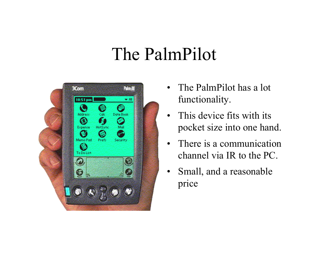#### The PalmPilot



- $\bullet$  The PalmPilot has a lot functionality.
- $\bullet$  This device fits with its pocket size into one hand.
- $\bullet$  There is a communication channel via IR to the PC.
- $\bullet$  Small, and a reasonable price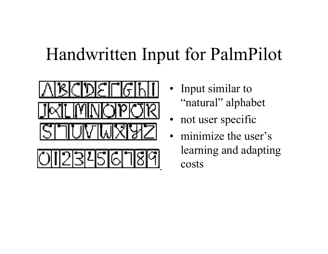### Handwritten Input for PalmPilot



- Input similar to "natural" alphabet
- •not user specific
- • minimize the user's learning and adapting costs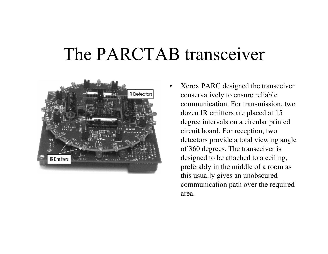#### The PARCTAB transceiver

•



 Xerox PARC designed the transceiver conservatively to ensure reliable communication. For transmission, two dozen IR emitters are placed at 15 degree intervals on a circular printed circuit board. For reception, two detectors provide a total viewing angle of 360 degrees. The transceiver is designed to be attached to a ceiling, preferably in the middle of a room as this usually gives an unobscured communication path over the required area.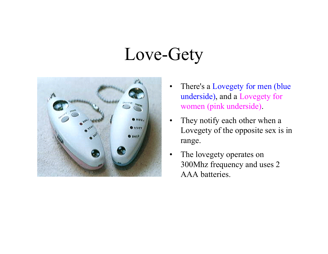### Love-Gety



- $\bullet$  There's a Lovegety for men (blue underside), and a Lovegety for women (pink underside).
- $\bullet$  They notify each other when a Lovegety of the opposite sex is in range.
- $\bullet$  The lovegety operates on 300Mhz frequency and uses 2 AAA batteries.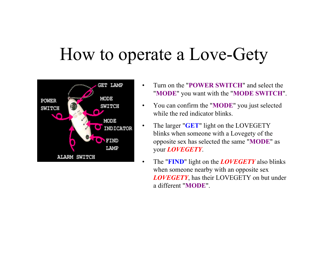#### How to operate a Love-Gety



- • Turn on the "**POWER SWITCH**" and select the "**MODE**" you want with the "**MODE SWITCH**".
- • You can confirm the "**MODE**" you just selected while the red indicator blinks.
- • The larger "**GET**" light on the LOVEGETY blinks when someone with a Lovegety of the opposite sex has selected the same "**MODE**" as your *LOVEGETY*.
- • The "**FIND**" light on the *LOVEGETY* also blinks when someone nearby with an opposite sex *LOVEGETY*, has their LOVEGETY on but under a different "**MODE**".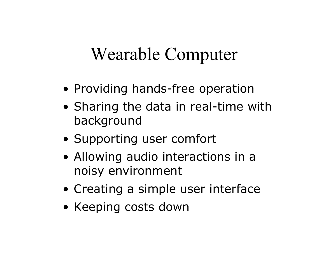#### Wearable Computer

- Providing hands-free operation
- Sharing the data in real-time with background
- Supporting user comfort
- Allowing audio interactions in a noisy environment
- Creating a simple user interface
- Keeping costs down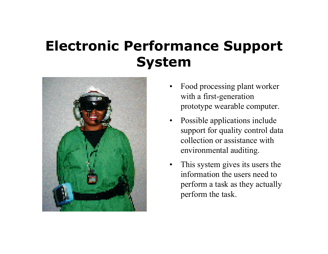#### **Electronic Performance Support System**



- • Food processing plant worker with a first-generation prototype wearable computer.
- Possible applications include support for quality control data collection or assistance with environmental auditing.
- $\bullet$  This system gives its users the information the users need to perform a task as they actually perform the task.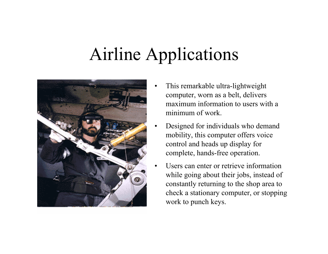# Airline Applications

•

•



- • This remarkable ultra-lightweight computer, worn as a belt, delivers maximum information to users with a minimum of work.
- Designed for individuals who demand mobility, this computer offers voice control and heads up display for complete, hands-free operation.
- Users can enter or retrieve information while going about their jobs, instead of constantly returning to the shop area to check a stationary computer, or stopping work to punch keys.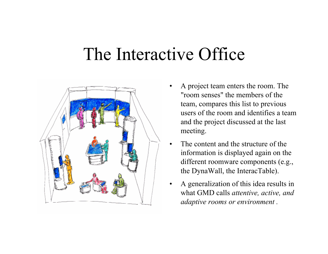#### The Interactive Office



- • A project team enters the room. The "room senses" the members of the team, compares this list to previous users of the room and identifies a team and the project discussed at the last meeting.
- • The content and the structure of the information is displayed again on the different roomware components (e.g., the DynaWall, the InteracTable).
- • A generalization of this idea results in what GMD calls *attentive, active, and adaptive rooms or environment .*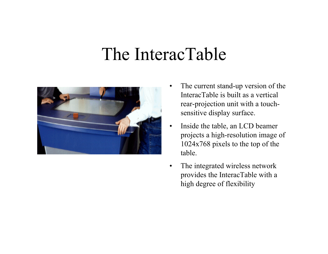#### The InteracTable



- • The current stand-up version of the InteracTable is built as a vertical rear-projection unit with a touchsensitive display surface.
- $\bullet$  Inside the table, an LCD beamer projects a high-resolution image of 1024x768 pixels to the top of the table.
- $\bullet$  The integrated wireless network provides the InteracTable with a high degree of flexibility